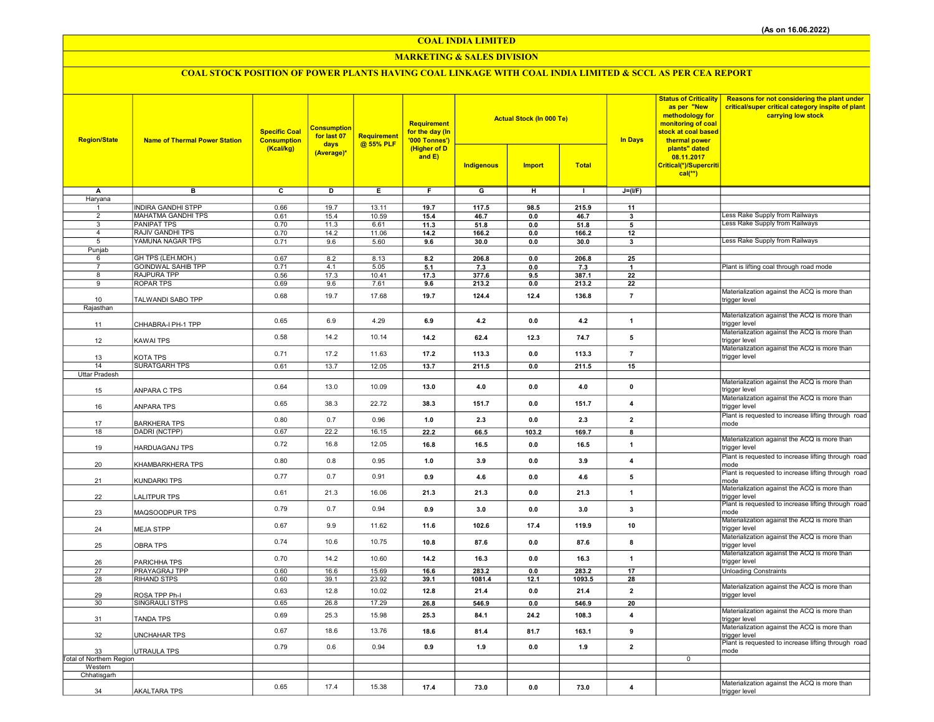COAL INDIA LIMITED

### MARKETING & SALES DIVISION

# COAL STOCK POSITION OF POWER PLANTS HAVING COAL LINKAGE WITH COAL INDIA LIMITED & SCCL AS PER CEA REPORT

| <b>Region/State</b>                 | <b>Name of Thermal Power Station</b>            | <b>Specific Coal</b><br><b>Consumption</b><br>(Kcal/kg) | <b>Consumption</b><br>for last 07<br>days | Requirement<br>@ 55% PLF | Requirement<br>for the day (In<br>'000 Tonnes')<br>(Higher of D |                | <b>Actual Stock (In 000 Te)</b> |               | <b>In Days</b>          | <b>Status of Criticality</b><br>as per "New<br>methodology for<br>monitoring of coal<br>stock at coal based<br>thermal power<br>plants" dated | <b>Reasons for not considering the plant under</b><br>critical/super critical category inspite of plant<br>carrying low stock |
|-------------------------------------|-------------------------------------------------|---------------------------------------------------------|-------------------------------------------|--------------------------|-----------------------------------------------------------------|----------------|---------------------------------|---------------|-------------------------|-----------------------------------------------------------------------------------------------------------------------------------------------|-------------------------------------------------------------------------------------------------------------------------------|
|                                     |                                                 |                                                         | (Average)*                                |                          | and $E$ )                                                       | Indigenous     | <b>Import</b>                   | <b>Total</b>  |                         | 08.11.2017<br>Critical(*)/Supercriti<br>$cal(**)$                                                                                             |                                                                                                                               |
| Α                                   | в                                               | $\overline{\mathbf{c}}$                                 | D                                         | E                        | F.                                                              | $\overline{G}$ | н                               | $\mathbf{I}$  | $J=(I/F)$               |                                                                                                                                               |                                                                                                                               |
| Haryana                             |                                                 |                                                         |                                           |                          |                                                                 |                |                                 |               |                         |                                                                                                                                               |                                                                                                                               |
| 1<br>$\overline{2}$                 | <b>INDIRA GANDHI STPP</b><br>MAHATMA GANDHI TPS | 0.66<br>0.61                                            | 19.7<br>15.4                              | 13.11<br>10.59           | 19.7<br>15.4                                                    | 117.5<br>46.7  | 98.5<br>0.0                     | 215.9<br>46.7 | 11<br>3                 |                                                                                                                                               | Less Rake Supply from Railways                                                                                                |
| 3                                   | <b>PANIPAT TPS</b>                              | 0.70                                                    | 11.3                                      | 6.61                     | 11.3                                                            | 51.8           | 0.0                             | 51.8          | 5                       |                                                                                                                                               | <b>Less Rake Supply from Railways</b>                                                                                         |
| $\overline{4}$                      | <b>RAJIV GANDHI TPS</b>                         | 0.70                                                    | 14.2                                      | 11.06                    | 14.2                                                            | 166.2          | 0.0                             | 166.2         | 12                      |                                                                                                                                               |                                                                                                                               |
| 5                                   | YAMUNA NAGAR TPS                                | 0.71                                                    | 9.6                                       | 5.60                     | 9.6                                                             | 30.0           | 0.0                             | 30.0          | 3                       |                                                                                                                                               | Less Rake Supply from Railways                                                                                                |
| Punjab                              |                                                 |                                                         |                                           |                          |                                                                 |                |                                 |               |                         |                                                                                                                                               |                                                                                                                               |
| 6<br>$\overline{7}$                 | GH TPS (LEH.MOH.)<br><b>GOINDWAL SAHIB TPP</b>  | 0.67<br>0.71                                            | 8.2<br>4.1                                | 8.13<br>5.05             | 8.2<br>5.1                                                      | 206.8<br>7.3   | 0.0<br>0.0                      | 206.8<br>7.3  | 25<br>$\mathbf{1}$      |                                                                                                                                               | Plant is lifting coal through road mode                                                                                       |
| 8                                   | RAJPURA TPP                                     | 0.56                                                    | 17.3                                      | 10.41                    | 17.3                                                            | 377.6          | 9.5                             | 387.1         | 22                      |                                                                                                                                               |                                                                                                                               |
| 9                                   | ROPAR TPS                                       | 0.69                                                    | 9.6                                       | 7.61                     | 9.6                                                             | 213.2          | 0.0                             | 213.2         | ${\bf 22}$              |                                                                                                                                               |                                                                                                                               |
|                                     |                                                 | 0.68                                                    | 19.7                                      | 17.68                    | 19.7                                                            | 124.4          | 12.4                            | 136.8         | $\bf 7$                 |                                                                                                                                               | Materialization against the ACQ is more than                                                                                  |
| 10<br>Rajasthan                     | TALWANDI SABO TPP                               |                                                         |                                           |                          |                                                                 |                |                                 |               |                         |                                                                                                                                               | trigger level                                                                                                                 |
|                                     |                                                 |                                                         |                                           |                          |                                                                 |                |                                 |               |                         |                                                                                                                                               | Materialization against the ACQ is more than                                                                                  |
| 11                                  | CHHABRA-I PH-1 TPP                              | 0.65                                                    | 6.9                                       | 4.29                     | 6.9                                                             | 4.2            | 0.0                             | 4.2           | $\mathbf{1}$            |                                                                                                                                               | trigger level                                                                                                                 |
| 12                                  | KAWAI TPS                                       | 0.58                                                    | 14.2                                      | 10.14                    | 14.2                                                            | 62.4           | 12.3                            | 74.7          | 5                       |                                                                                                                                               | Materialization against the ACQ is more than<br>trigger level                                                                 |
| 13                                  | KOTA TPS                                        | 0.71                                                    | 17.2                                      | 11.63                    | 17.2                                                            | 113.3          | 0.0                             | 113.3         | $\overline{7}$          |                                                                                                                                               | Materialization against the ACQ is more than<br>trigger level                                                                 |
| 14                                  | <b>SURATGARH TPS</b>                            | 0.61                                                    | 13.7                                      | 12.05                    | 13.7                                                            | 211.5          | 0.0                             | 211.5         | 15                      |                                                                                                                                               |                                                                                                                               |
| Uttar Pradesh                       |                                                 |                                                         |                                           |                          |                                                                 |                |                                 |               |                         |                                                                                                                                               |                                                                                                                               |
| 15                                  | ANPARA C TPS                                    | 0.64                                                    | 13.0                                      | 10.09                    | 13.0                                                            | 4.0            | 0.0                             | $4.0$         | $\pmb{0}$               |                                                                                                                                               | Materialization against the ACQ is more than<br>trigger level                                                                 |
| 16                                  | <b>ANPARA TPS</b>                               | 0.65                                                    | 38.3                                      | 22.72                    | 38.3                                                            | 151.7          | 0.0                             | 151.7         | $\overline{\mathbf{4}}$ |                                                                                                                                               | Materialization against the ACQ is more than<br>trigger level                                                                 |
| 17                                  | BARKHERA TPS                                    | 0.80                                                    | 0.7                                       | 0.96                     | 1.0                                                             | 2.3            | 0.0                             | 2.3           | $\overline{2}$          |                                                                                                                                               | Plant is requested to increase lifting through road<br>mode                                                                   |
| 18                                  | DADRI (NCTPP)                                   | 0.67                                                    | 22.2                                      | 16.15                    | 22.2                                                            | 66.5           | 103.2                           | 169.7         | 8                       |                                                                                                                                               |                                                                                                                               |
| 19                                  | HARDUAGANJ TPS                                  | 0.72                                                    | 16.8                                      | 12.05                    | 16.8                                                            | 16.5           | 0.0                             | 16.5          | $\mathbf{1}$            |                                                                                                                                               | Materialization against the ACQ is more than<br>trigger level                                                                 |
| 20                                  | KHAMBARKHERA TPS                                | 0.80                                                    | 0.8                                       | 0.95                     | 1.0                                                             | 3.9            | 0.0                             | 3.9           | $\overline{\bf{4}}$     |                                                                                                                                               | Plant is requested to increase lifting through road<br>mode                                                                   |
| 21                                  | <b>KUNDARKI TPS</b>                             | 0.77                                                    | 0.7                                       | 0.91                     | 0.9                                                             | 4.6            | 0.0                             | 4.6           | 5                       |                                                                                                                                               | Plant is requested to increase lifting through road<br>mode                                                                   |
| 22                                  | LALITPUR TPS                                    | 0.61                                                    | 21.3                                      | 16.06                    | 21.3                                                            | 21.3           | 0.0                             | 21.3          | $\mathbf{1}$            |                                                                                                                                               | Materialization against the ACQ is more than<br>trigger level<br>Plant is requested to increase lifting through road          |
| 23                                  | MAQSOODPUR TPS                                  | 0.79                                                    | 0.7                                       | 0.94                     | 0.9                                                             | 3.0            | 0.0                             | 3.0           | 3                       |                                                                                                                                               | mode<br>Materialization against the ACQ is more than                                                                          |
| 24                                  | <b>MEJA STPP</b>                                | 0.67                                                    | 9.9                                       | 11.62                    | 11.6                                                            | 102.6          | 17.4                            | 119.9         | 10                      |                                                                                                                                               | trigger level<br>Materialization against the ACQ is more than                                                                 |
| 25                                  | OBRA TPS                                        | 0.74                                                    | 10.6                                      | 10.75                    | 10.8                                                            | 87.6           | 0.0                             | 87.6          | 8                       |                                                                                                                                               | trigger level<br>Materialization against the ACQ is more than                                                                 |
| 26                                  | PARICHHA TPS                                    | 0.70                                                    | 14.2                                      | 10.60                    | 14.2                                                            | 16.3           | 0.0                             | 16.3          | $\mathbf{1}$            |                                                                                                                                               | trigger level                                                                                                                 |
| 27                                  | PRAYAGRAJ TPP                                   | 0.60                                                    | 16.6                                      | 15.69                    | 16.6                                                            | 283.2          | 0.0                             | 283.2         | 17                      |                                                                                                                                               | <b>Unloading Constraints</b>                                                                                                  |
| 28                                  | <b>RIHAND STPS</b>                              | 0.60                                                    | 39.1                                      | 23.92                    | 39.1                                                            | 1081.4         | 12.1                            | 1093.5        | 28                      |                                                                                                                                               | Materialization against the ACQ is more than                                                                                  |
| 29                                  | ROSA TPP Ph-I                                   | 0.63                                                    | 12.8                                      | 10.02                    | 12.8                                                            | 21.4           | 0.0                             | 21.4          | $\overline{2}$          |                                                                                                                                               | trigger level                                                                                                                 |
| 30                                  | SINGRAULI STPS                                  | 0.65                                                    | 26.8                                      | 17.29                    | 26.8                                                            | 546.9          | 0.0                             | 546.9         | 20                      |                                                                                                                                               |                                                                                                                               |
| 31                                  | <b>TANDA TPS</b>                                | 0.69                                                    | 25.3                                      | 15.98                    | 25.3                                                            | 84.1           | 24.2                            | 108.3         | $\overline{4}$          |                                                                                                                                               | Materialization against the ACQ is more than<br>trigger level                                                                 |
| 32                                  | <b>UNCHAHAR TPS</b>                             | 0.67                                                    | 18.6                                      | 13.76                    | 18.6                                                            | 81.4           | 81.7                            | 163.1         | 9                       |                                                                                                                                               | Materialization against the ACQ is more than<br>trigger level                                                                 |
| 33                                  | UTRAULA TPS                                     | 0.79                                                    | 0.6                                       | 0.94                     | 0.9                                                             | 1.9            | 0.0                             | 1.9           | $\overline{2}$          |                                                                                                                                               | Plant is requested to increase lifting through road<br>mode                                                                   |
| Total of Northern Region<br>Western |                                                 |                                                         |                                           |                          |                                                                 |                |                                 |               |                         | $\mathbf 0$                                                                                                                                   |                                                                                                                               |
| Chhatisgarh                         |                                                 |                                                         |                                           |                          |                                                                 |                |                                 |               |                         |                                                                                                                                               |                                                                                                                               |
|                                     |                                                 | 0.65                                                    | 17.4                                      | 15.38                    | 17.4                                                            | 73.0           | 0.0                             | 73.0          | $\overline{4}$          |                                                                                                                                               | Materialization against the ACQ is more than                                                                                  |
| 34                                  | <b>AKALTARA TPS</b>                             |                                                         |                                           |                          |                                                                 |                |                                 |               |                         |                                                                                                                                               | trigger level                                                                                                                 |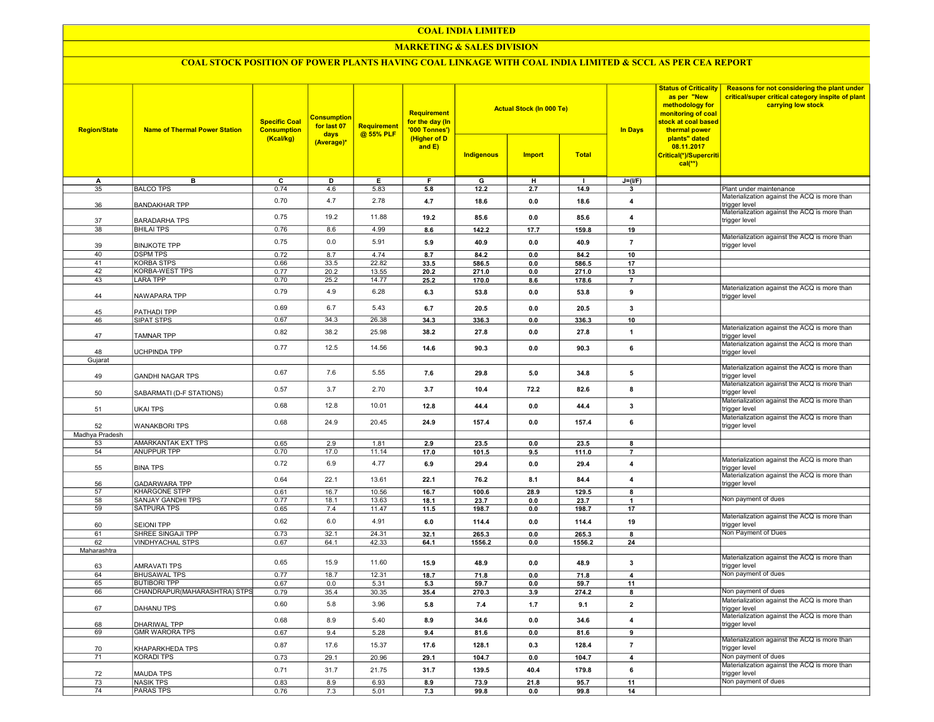### COAL INDIA LIMITED

### MARKETING & SALES DIVISION

## COAL STOCK POSITION OF POWER PLANTS HAVING COAL LINKAGE WITH COAL INDIA LIMITED & SCCL AS PER CEA REPORT

| <b>Region/State</b> | <b>Name of Thermal Power Station</b>             | <b>Specific Coal</b><br><b>Consumption</b> | <b>Consumption</b><br>for last 07<br>days | Requirement<br>@ 55% PLF | Requirement<br>for the day (In<br>'000 Tonnes') |               | <b>Actual Stock (In 000 Te)</b> |               | <b>Status of Criticality</b><br>as per "New<br>methodology for<br>monitoring of coal<br>stock at coal based<br><b>In Days</b><br>thermal power | Reasons for not considering the plant under<br>critical/super critical category inspite of plant<br>carrying low stock |                                                                                                               |
|---------------------|--------------------------------------------------|--------------------------------------------|-------------------------------------------|--------------------------|-------------------------------------------------|---------------|---------------------------------|---------------|------------------------------------------------------------------------------------------------------------------------------------------------|------------------------------------------------------------------------------------------------------------------------|---------------------------------------------------------------------------------------------------------------|
|                     |                                                  | (Kcal/kg)                                  | (Average)*                                |                          | (Higher of D<br>and E)                          | Indigenous    | <b>Import</b>                   | <b>Total</b>  |                                                                                                                                                | plants" dated<br>08.11.2017<br>Critical(*)/Supercriti<br>$cal(**)$                                                     |                                                                                                               |
| А                   | в                                                | $\overline{c}$                             | D                                         | E                        | F                                               | G             | н                               |               | $J=(I/F)$                                                                                                                                      |                                                                                                                        |                                                                                                               |
| 35                  | <b>BALCO TPS</b>                                 | 0.74                                       | 4.6                                       | 5.83                     | 5.8                                             | 12.2          | 2.7                             | 14.9          | $\mathbf{3}$                                                                                                                                   |                                                                                                                        | Plant under maintenance                                                                                       |
| 36                  | <b>BANDAKHAR TPP</b>                             | 0.70                                       | 4.7                                       | 2.78                     | 4.7                                             | 18.6          | 0.0                             | 18.6          | $\overline{\mathbf{4}}$                                                                                                                        |                                                                                                                        | Materialization against the ACQ is more than<br>trigger level<br>Materialization against the ACQ is more than |
| 37                  | <b>BARADARHA TPS</b>                             | 0.75                                       | 19.2                                      | 11.88                    | 19.2                                            | 85.6          | 0.0                             | 85.6          | $\overline{4}$                                                                                                                                 |                                                                                                                        | trigger level                                                                                                 |
| 38                  | <b>BHILAI TPS</b>                                | 0.76                                       | 8.6                                       | 4.99                     | 8.6                                             | 142.2         | 17.7                            | 159.8         | 19                                                                                                                                             |                                                                                                                        | Materialization against the ACQ is more than                                                                  |
| 39                  | <b>BINJKOTE TPP</b>                              | 0.75                                       | 0.0                                       | 5.91                     | 5.9                                             | 40.9          | 0.0                             | 40.9          | $\overline{7}$                                                                                                                                 |                                                                                                                        | trigger level                                                                                                 |
| 40<br>41            | <b>DSPM TPS</b><br><b>KORBA STPS</b>             | 0.72<br>0.66                               | 8.7<br>33.5                               | 4.74<br>22.82            | 8.7<br>33.5                                     | 84.2<br>586.5 | 0.0<br>0.0                      | 84.2<br>586.5 | 10<br>17                                                                                                                                       |                                                                                                                        |                                                                                                               |
| $\overline{42}$     | <b>KORBA-WEST TPS</b>                            | 0.77                                       | 20.2                                      | 13.55                    | 20.2                                            | 271.0         | 0.0                             | 271.0         | 13                                                                                                                                             |                                                                                                                        |                                                                                                               |
| 43                  | <b>LARA TPP</b>                                  | 0.70                                       | 25.2                                      | 14.77                    | 25.2                                            | 170.0         | 8.6                             | 178.6         | $\overline{7}$                                                                                                                                 |                                                                                                                        |                                                                                                               |
| 44                  | NAWAPARA TPP                                     | 0.79                                       | 4.9                                       | 6.28                     | 6.3                                             | 53.8          | 0.0                             | 53.8          | 9                                                                                                                                              |                                                                                                                        | Materialization against the ACQ is more than<br>trigger level                                                 |
| 45                  | PATHADI TPP                                      | 0.69                                       | 6.7                                       | 5.43                     | 6.7                                             | 20.5          | 0.0                             | 20.5          | $\mathbf{3}$                                                                                                                                   |                                                                                                                        |                                                                                                               |
| 46                  | SIPAT STPS                                       | 0.67                                       | 34.3                                      | 26.38                    | 34.3                                            | 336.3         | 0.0                             | 336.3         | 10                                                                                                                                             |                                                                                                                        |                                                                                                               |
| 47                  | <b>TAMNAR TPP</b>                                | 0.82                                       | 38.2                                      | 25.98                    | 38.2                                            | 27.8          | 0.0                             | 27.8          | $\mathbf{1}$                                                                                                                                   |                                                                                                                        | Materialization against the ACQ is more than<br>trigger level                                                 |
|                     |                                                  | 0.77                                       | 12.5                                      | 14.56                    | 14.6                                            | 90.3          | 0.0                             | 90.3          | $\bf{6}$                                                                                                                                       |                                                                                                                        | Materialization against the ACQ is more than                                                                  |
| 48                  | UCHPINDA TPP                                     |                                            |                                           |                          |                                                 |               |                                 |               |                                                                                                                                                |                                                                                                                        | trigger level                                                                                                 |
| Gujarat             |                                                  |                                            |                                           |                          |                                                 |               |                                 |               |                                                                                                                                                |                                                                                                                        | Materialization against the ACQ is more than                                                                  |
| 49                  | <b>GANDHI NAGAR TPS</b>                          | 0.67                                       | 7.6                                       | 5.55                     | 7.6                                             | 29.8          | 5.0                             | 34.8          | 5                                                                                                                                              |                                                                                                                        | rigger level<br>Materialization against the ACQ is more than                                                  |
| 50                  | SABARMATI (D-F STATIONS)                         | 0.57                                       | 3.7                                       | 2.70                     | 3.7                                             | 10.4          | 72.2                            | 82.6          | 8                                                                                                                                              |                                                                                                                        | trigger level                                                                                                 |
| 51                  | <b>UKAI TPS</b>                                  | 0.68                                       | 12.8                                      | 10.01                    | 12.8                                            | 44.4          | 0.0                             | 44.4          | 3                                                                                                                                              |                                                                                                                        | Materialization against the ACQ is more than<br>trigger level                                                 |
| 52                  | <b>WANAKBORI TPS</b>                             | 0.68                                       | 24.9                                      | 20.45                    | 24.9                                            | 157.4         | 0.0                             | 157.4         | 6                                                                                                                                              |                                                                                                                        | Materialization against the ACQ is more than<br>trigger level                                                 |
| Madhya Pradesh      |                                                  |                                            |                                           |                          |                                                 |               |                                 |               |                                                                                                                                                |                                                                                                                        |                                                                                                               |
| 53                  | AMARKANTAK EXT TPS                               | 0.65                                       | 2.9                                       | 1.81                     | 2.9                                             | 23.5          | 0.0                             | 23.5          | 8                                                                                                                                              |                                                                                                                        |                                                                                                               |
| 54                  | <b>ANUPPUR TPP</b>                               | 0.70                                       | 17.0                                      | 11.14                    | 17.0                                            | 101.5         | 9.5                             | 111.0         | $\overline{7}$                                                                                                                                 |                                                                                                                        |                                                                                                               |
| 55                  | <b>BINA TPS</b>                                  | 0.72                                       | 6.9                                       | 4.77                     | 6.9                                             | 29.4          | 0.0                             | 29.4          | $\overline{\mathbf{4}}$                                                                                                                        |                                                                                                                        | Materialization against the ACQ is more than<br>trigger level                                                 |
| 56                  | <b>GADARWARA TPP</b>                             | 0.64                                       | 22.1                                      | 13.61                    | 22.1                                            | 76.2          | 8.1                             | 84.4          | $\overline{\mathbf{4}}$                                                                                                                        |                                                                                                                        | Materialization against the ACQ is more than<br>trigger level                                                 |
| $\overline{57}$     | <b>KHARGONE STPP</b><br><b>SANJAY GANDHI TPS</b> | 0.61                                       | 16.7                                      | 10.56                    | 16.7                                            | 100.6         | 28.9                            | 129.5         | 8                                                                                                                                              |                                                                                                                        | Non payment of dues                                                                                           |
| 58<br>59            | <b>SATPURA TPS</b>                               | 0.77<br>0.65                               | 18.1<br>7.4                               | 13.63<br>11.47           | 18.1<br>11.5                                    | 23.7<br>198.7 | 0.0<br>0.0                      | 23.7<br>198.7 | $\overline{\mathbf{1}}$<br>17                                                                                                                  |                                                                                                                        |                                                                                                               |
| 60                  | <b>SEIONI TPP</b>                                | 0.62                                       | 6.0                                       | 4.91                     | 6.0                                             | 114.4         | 0.0                             | 114.4         | 19                                                                                                                                             |                                                                                                                        | Materialization against the ACQ is more than<br>trigger level                                                 |
| 61                  | SHREE SINGAJI TPP                                | 0.73                                       | 32.1                                      | 24.31                    | 32.1                                            | 265.3         | 0.0                             | 265.3         | 8                                                                                                                                              |                                                                                                                        | Non Payment of Dues                                                                                           |
| 62                  | <b>VINDHYACHAL STPS</b>                          | 0.67                                       | 64.1                                      | 42.33                    | 64.1                                            | 1556.2        | 0.0                             | 1556.2        | 24                                                                                                                                             |                                                                                                                        |                                                                                                               |
| Maharashtra         |                                                  |                                            |                                           |                          |                                                 |               |                                 |               |                                                                                                                                                |                                                                                                                        |                                                                                                               |
| 63                  | AMRAVATI TPS                                     | 0.65                                       | 15.9                                      | 11.60                    | 15.9                                            | 48.9          | 0.0                             | 48.9          | $\mathbf{3}$                                                                                                                                   |                                                                                                                        | Materialization against the ACQ is more than<br>trigger level                                                 |
| 64                  | <b>BHUSAWAL TPS</b>                              | 0.77                                       | 18.7                                      | 12.31                    | 18.7                                            | 71.8          | 0.0                             | 71.8          | $\overline{4}$                                                                                                                                 |                                                                                                                        | Non payment of dues                                                                                           |
| 65                  | <b>BUTIBORI TPP</b>                              | 0.67                                       | 0.0                                       | 5.31                     | 5.3                                             | 59.7          | 0.0                             | 59.7          | 11                                                                                                                                             |                                                                                                                        |                                                                                                               |
| 66                  | CHANDRAPUR(MAHARASHTRA) STPS                     | 0.79                                       | 35.4                                      | 30.35                    | 35.4                                            | 270.3         | 3.9                             | 274.2         | 8                                                                                                                                              |                                                                                                                        | Non payment of dues                                                                                           |
| 67                  | DAHANU TPS                                       | 0.60                                       | 5.8                                       | 3.96                     | 5.8                                             | 7.4           | 1.7                             | 9.1           | $\mathbf 2$                                                                                                                                    |                                                                                                                        | Materialization against the ACQ is more than<br>trigger level                                                 |
| 68                  | <b>DHARIWAL TPP</b>                              | 0.68                                       | 8.9                                       | 5.40                     | 8.9                                             | 34.6          | 0.0                             | 34.6          | $\overline{4}$                                                                                                                                 |                                                                                                                        | Materialization against the ACQ is more than<br>trigger level                                                 |
| 69                  | <b>GMR WARORA TPS</b>                            | 0.67                                       | 9.4                                       | 5.28                     | 9.4                                             | 81.6          | 0.0                             | 81.6          | 9                                                                                                                                              |                                                                                                                        |                                                                                                               |
| 70                  | KHAPARKHEDA TPS                                  | 0.87                                       | 17.6                                      | 15.37                    | 17.6                                            | 128.1         | 0.3                             | 128.4         | $\overline{7}$                                                                                                                                 |                                                                                                                        | Materialization against the ACQ is more than<br>trigger level                                                 |
| $\overline{71}$     | <b>KORADI TPS</b>                                | 0.73                                       | 29.1                                      | 20.96                    | 29.1                                            | 104.7         | 0.0                             | 104.7         | $\overline{4}$                                                                                                                                 |                                                                                                                        | Non payment of dues                                                                                           |
| 72                  | <b>MAUDA TPS</b>                                 | 0.71                                       | 31.7                                      | 21.75                    | 31.7                                            | 139.5         | 40.4                            | 179.8         | $\bf{6}$                                                                                                                                       |                                                                                                                        | Materialization against the ACQ is more than<br>trigger level                                                 |
| $\overline{73}$     | <b>NASIK TPS</b>                                 | 0.83                                       | 8.9                                       | 6.93                     | 8.9                                             | 73.9          | 21.8                            | 95.7          | 11                                                                                                                                             |                                                                                                                        | Non payment of dues                                                                                           |
| $\overline{74}$     | <b>PARAS TPS</b>                                 | 0.76                                       | 7.3                                       | 5.01                     | 7.3                                             | 99.8          | 0.0                             | 99.8          | 14                                                                                                                                             |                                                                                                                        |                                                                                                               |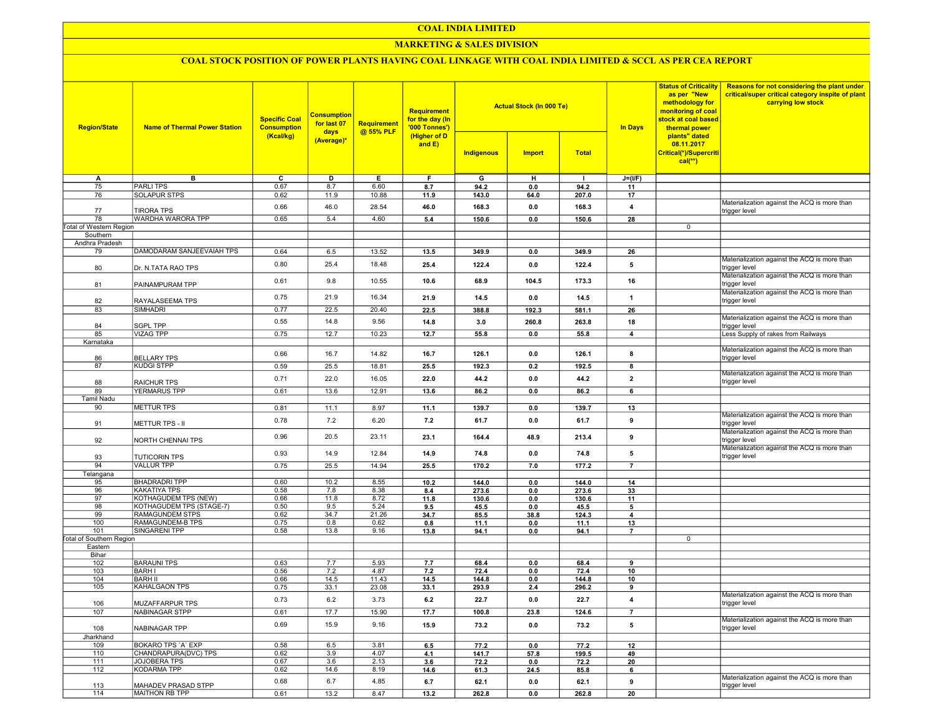### COAL INDIA LIMITED

### **MARKETING & SALES DIVISION**

# COAL STOCK POSITION OF POWER PLANTS HAVING COAL LINKAGE WITH COAL INDIA LIMITED & SCCL AS PER CEA REPORT

| <b>Region/State</b>             | <b>Name of Thermal Power Station</b> | <b>Specific Coal</b><br><b>Consumption</b> | <b>Consumption</b><br>for last 07<br>days<br>(Average)* | <b>Requirement</b><br>@ 55% PLF | <b>Requirement</b><br>for the day (In<br>'000 Tonnes')<br>(Higher of D<br>and $E$ ) |            | <b>Actual Stock (In 000 Te)</b> |              | <b>In Days</b>          | <b>Status of Criticality</b><br>as per "New<br>methodology for<br>monitoring of coal<br>stock at coal based<br>thermal power | <b>Reasons for not considering the plant under</b><br>critical/super critical category inspite of plant<br>carrying low stock |
|---------------------------------|--------------------------------------|--------------------------------------------|---------------------------------------------------------|---------------------------------|-------------------------------------------------------------------------------------|------------|---------------------------------|--------------|-------------------------|------------------------------------------------------------------------------------------------------------------------------|-------------------------------------------------------------------------------------------------------------------------------|
|                                 |                                      | (Kcal/kg)                                  |                                                         |                                 |                                                                                     | Indigenous | <b>Import</b>                   | <b>Total</b> |                         | plants" dated<br>08.11.2017<br>Critical(*)/Supercriti<br>$cal$ (**)                                                          |                                                                                                                               |
| А                               | в                                    | c                                          | D                                                       | Е.                              | F.                                                                                  | G          | н                               | п.           | $J=(I/F)$               |                                                                                                                              |                                                                                                                               |
| 75                              | <b>PARLITPS</b>                      | 0.67                                       | 8.7                                                     | 6.60                            | 8.7                                                                                 | 94.2       | 0.0                             | 94.2         | 11                      |                                                                                                                              |                                                                                                                               |
| 76                              | <b>SOLAPUR STPS</b>                  | 0.62                                       | 11.9                                                    | 10.88                           | 11.9                                                                                | 143.0      | 64.0                            | 207.0        | 17                      |                                                                                                                              |                                                                                                                               |
| 77                              | <b>TIRORA TPS</b>                    | 0.66                                       | 46.0                                                    | 28.54                           | 46.0                                                                                | 168.3      | 0.0                             | 168.3        | $\overline{\mathbf{4}}$ |                                                                                                                              | Materialization against the ACQ is more than<br>trigger level                                                                 |
| 78                              | WARDHA WARORA TPP                    | 0.65                                       | 5.4                                                     | 4.60                            | 5.4                                                                                 | 150.6      | 0.0                             | 150.6        | 28                      |                                                                                                                              |                                                                                                                               |
| <b>Total of Western Region</b>  |                                      |                                            |                                                         |                                 |                                                                                     |            |                                 |              |                         | 0                                                                                                                            |                                                                                                                               |
| Southern                        |                                      |                                            |                                                         |                                 |                                                                                     |            |                                 |              |                         |                                                                                                                              |                                                                                                                               |
| Andhra Pradesh                  |                                      |                                            |                                                         |                                 |                                                                                     |            |                                 |              |                         |                                                                                                                              |                                                                                                                               |
| 79                              | DAMODARAM SANJEEVAIAH TPS            | 0.64                                       | 6.5                                                     | 13.52                           | 13.5                                                                                | 349.9      | 0.0                             | 349.9        | 26                      |                                                                                                                              |                                                                                                                               |
|                                 |                                      |                                            |                                                         |                                 |                                                                                     |            |                                 |              |                         |                                                                                                                              | Materialization against the ACQ is more than                                                                                  |
| 80                              | Dr. N.TATA RAO TPS                   | 0.80                                       | 25.4                                                    | 18.48                           | 25.4                                                                                | 122.4      | 0.0                             | 122.4        | 5                       |                                                                                                                              | trigger level<br>Materialization against the ACQ is more than                                                                 |
| 81                              | PAINAMPURAM TPP                      | 0.61                                       | 9.8                                                     | 10.55                           | 10.6                                                                                | 68.9       | 104.5                           | 173.3        | 16                      |                                                                                                                              | trigger level                                                                                                                 |
| 82                              | RAYALASEEMA TPS                      | 0.75                                       | 21.9                                                    | 16.34                           | 21.9                                                                                | 14.5       | 0.0                             | 14.5         | $\overline{1}$          |                                                                                                                              | Materialization against the ACQ is more than<br>trigger level                                                                 |
| 83                              | <b>SIMHADRI</b>                      | 0.77                                       | 22.5                                                    | 20.40                           | 22.5                                                                                | 388.8      | 192.3                           | 581.1        | 26                      |                                                                                                                              |                                                                                                                               |
|                                 |                                      | 0.55                                       | 14.8                                                    | 9.56                            |                                                                                     | 3.0        | 260.8                           | 263.8        | 18                      |                                                                                                                              | Materialization against the ACQ is more than                                                                                  |
| 84                              | <b>SGPL TPP</b>                      |                                            |                                                         |                                 | 14.8                                                                                |            |                                 |              |                         |                                                                                                                              | trigger level                                                                                                                 |
| 85                              | <b>VIZAG TPP</b>                     | 0.75                                       | 12.7                                                    | 10.23                           | 12.7                                                                                | 55.8       | 0.0                             | 55.8         | $\overline{\mathbf{4}}$ |                                                                                                                              | Less Supply of rakes from Railways                                                                                            |
| Karnataka                       |                                      |                                            |                                                         |                                 |                                                                                     |            |                                 |              |                         |                                                                                                                              |                                                                                                                               |
| 86                              | <b>BELLARY TPS</b>                   | 0.66                                       | 16.7                                                    | 14.82                           | 16.7                                                                                | 126.1      | 0.0                             | 126.1        | 8                       |                                                                                                                              | Materialization against the ACQ is more than<br>trigger level                                                                 |
| 87                              | <b>KUDGI STPP</b>                    | 0.59                                       | 25.5                                                    | 18.81                           | 25.5                                                                                | 192.3      | 0.2                             | 192.5        | 8                       |                                                                                                                              |                                                                                                                               |
|                                 |                                      |                                            |                                                         |                                 |                                                                                     |            |                                 |              |                         |                                                                                                                              | Materialization against the ACQ is more than                                                                                  |
| 88                              | <b>RAICHUR TPS</b>                   | 0.71                                       | 22.0                                                    | 16.05                           | 22.0                                                                                | 44.2       | 0.0                             | 44.2         | $\overline{2}$          |                                                                                                                              | trigger level                                                                                                                 |
| 89                              | <b>YERMARUS TPP</b>                  | 0.61                                       | 13.6                                                    | 12.91                           | 13.6                                                                                | 86.2       | 0.0                             | 86.2         | 6                       |                                                                                                                              |                                                                                                                               |
| Tamil Nadu                      |                                      |                                            |                                                         |                                 |                                                                                     |            |                                 |              |                         |                                                                                                                              |                                                                                                                               |
| 90                              | <b>METTUR TPS</b>                    | 0.81                                       | 11.1                                                    | 8.97                            | 11.1                                                                                | 139.7      | 0.0                             | 139.7        | 13                      |                                                                                                                              |                                                                                                                               |
|                                 |                                      |                                            |                                                         |                                 |                                                                                     |            |                                 |              |                         |                                                                                                                              | Materialization against the ACQ is more than                                                                                  |
| 91                              | <b>METTUR TPS - II</b>               | 0.78                                       | 7.2                                                     | 6.20                            | 7.2                                                                                 | 61.7       | 0.0                             | 61.7         | 9                       |                                                                                                                              | trigger level                                                                                                                 |
| 92                              | NORTH CHENNAI TPS                    | 0.96                                       | 20.5                                                    | 23.11                           | 23.1                                                                                | 164.4      | 48.9                            | 213.4        | 9                       |                                                                                                                              | Materialization against the ACQ is more than<br>trigger level                                                                 |
| 93                              | <b>TUTICORIN TPS</b>                 | 0.93                                       | 14.9                                                    | 12.84                           | 14.9                                                                                | 74.8       | 0.0                             | 74.8         | 5                       |                                                                                                                              | Materialization against the ACQ is more than<br>trigger level                                                                 |
| 94                              | <b>VALLUR TPP</b>                    | 0.75                                       | 25.5                                                    | 14.94                           | 25.5                                                                                | 170.2      | 7.0                             | 177.2        | $\overline{7}$          |                                                                                                                              |                                                                                                                               |
| Telangana                       |                                      |                                            |                                                         |                                 |                                                                                     |            |                                 |              |                         |                                                                                                                              |                                                                                                                               |
| 95                              | <b>BHADRADRI TPP</b>                 | 0.60                                       | 10.2                                                    | 8.55                            | 10.2                                                                                | 144.0      | $0.0\,$                         | 144.0        | 14                      |                                                                                                                              |                                                                                                                               |
| 96                              | <b>KAKATIYA TPS</b>                  | 0.58                                       | 7.8                                                     | 8.38                            | 8.4                                                                                 | 273.6      | 0.0                             | 273.6        | 33                      |                                                                                                                              |                                                                                                                               |
| 97                              | KOTHAGUDEM TPS (NEW)                 | 0.66                                       | 11.8                                                    | 8.72                            | 11.8                                                                                | 130.6      | 0.0                             | 130.6        | 11                      |                                                                                                                              |                                                                                                                               |
| 98                              | KOTHAGUDEM TPS (STAGE-7)             | 0.50                                       | 9.5                                                     | 5.24                            | 9.5                                                                                 | 45.5       | 0.0                             | 45.5         | 5                       |                                                                                                                              |                                                                                                                               |
| 99                              | RAMAGUNDEM STPS                      | 0.62                                       | 34.7                                                    | 21.26                           | 34.7                                                                                | 85.5       | 38.8                            | 124.3        | $\boldsymbol{4}$        |                                                                                                                              |                                                                                                                               |
| 100                             | RAMAGUNDEM-B TPS                     | 0.75                                       | 0.8                                                     | 0.62                            | 0.8                                                                                 | 11.1       | 0.0                             | 11.1         | 13                      |                                                                                                                              |                                                                                                                               |
| 101                             | <b>SINGARENI TPP</b>                 | 0.58                                       | 13.8                                                    | 9.16                            | 13.8                                                                                | 94.1       | 0.0                             | 94.1         | $\overline{7}$          |                                                                                                                              |                                                                                                                               |
| <b>Total of Southern Region</b> |                                      |                                            |                                                         |                                 |                                                                                     |            |                                 |              |                         | 0                                                                                                                            |                                                                                                                               |
| Eastern                         |                                      |                                            |                                                         |                                 |                                                                                     |            |                                 |              |                         |                                                                                                                              |                                                                                                                               |
| Bihar                           |                                      |                                            |                                                         |                                 |                                                                                     |            |                                 |              |                         |                                                                                                                              |                                                                                                                               |
| 102                             | <b>BARAUNI TPS</b>                   | 0.63                                       | 7.7                                                     | 5.93                            | 7.7                                                                                 | 68.4       | 0.0                             | 68.4         | 9                       |                                                                                                                              |                                                                                                                               |
| 103                             | <b>BARHI</b>                         | 0.56                                       | 7.2                                                     | 4.87                            | 7.2                                                                                 | 72.4       | 0.0                             | 72.4         | 10                      |                                                                                                                              |                                                                                                                               |
| 104                             | <b>BARH II</b>                       | 0.66                                       | 14.5                                                    | 11.43                           | 14.5                                                                                | 144.8      | 0.0                             | 144.8        | 10                      |                                                                                                                              |                                                                                                                               |
| 105                             | KAHALGAON TPS                        | 0.75                                       | 33.1                                                    | 23.08                           | 33.1                                                                                | 293.9      | 2.4                             | 296.2        | 9                       |                                                                                                                              |                                                                                                                               |
| 106                             | <b>MUZAFFARPUR TPS</b>               | 0.73                                       | 6.2                                                     | 3.73                            | 6.2                                                                                 | 22.7       | 0.0                             | 22.7         | $\overline{4}$          |                                                                                                                              | Materialization against the ACQ is more than<br>trigger level                                                                 |
| 107                             | <b>NABINAGAR STPP</b>                | 0.61                                       | 17.7                                                    | 15.90                           | 17.7                                                                                | 100.8      | 23.8                            | 124.6        | $\overline{7}$          |                                                                                                                              |                                                                                                                               |
|                                 | <b>NABINAGAR TPP</b>                 | 0.69                                       | 15.9                                                    | 9.16                            | 15.9                                                                                | 73.2       | 0.0                             | 73.2         | 5                       |                                                                                                                              | Materialization against the ACQ is more than<br>trigger level                                                                 |
| 108                             |                                      |                                            |                                                         |                                 |                                                                                     |            |                                 |              |                         |                                                                                                                              |                                                                                                                               |
| Jharkhand                       |                                      |                                            |                                                         |                                 |                                                                                     |            |                                 |              |                         |                                                                                                                              |                                                                                                                               |
| 109                             | BOKARO TPS 'A' EXP                   | 0.58<br>0.62                               | 6.5<br>3.9                                              | 3.81<br>4.07                    | 6.5                                                                                 | 77.2       | 0.0                             | 77.2         | 12                      |                                                                                                                              |                                                                                                                               |
| 110                             | CHANDRAPURA(DVC) TPS                 | 0.67                                       | 3.6                                                     | 2.13                            | 4.1                                                                                 | 141.7      | 57.8                            | 199.5        | 49                      |                                                                                                                              |                                                                                                                               |
| 111                             | <b>JOJOBERA TPS</b><br>KODARMA TPP   |                                            |                                                         |                                 | 3.6                                                                                 | 72.2       | 0.0                             | 72.2         | 20                      |                                                                                                                              |                                                                                                                               |
| 112                             |                                      | 0.62                                       | 14.6                                                    | 8.19                            | 14.6                                                                                | 61.3       | 24.5                            | 85.8         | 6                       |                                                                                                                              | Materialization against the ACQ is more than                                                                                  |
| 113                             | MAHADEV PRASAD STPP                  | 0.68                                       | 6.7                                                     | 4.85                            | 6.7                                                                                 | 62.1       | 0.0                             | 62.1         | 9                       |                                                                                                                              | trigger level                                                                                                                 |
| 114                             | <b>MAITHON RB TPP</b>                | 0.61                                       | 13.2                                                    | 8.47                            | 13.2                                                                                | 262.8      | 0.0                             | 262.8        | 20                      |                                                                                                                              |                                                                                                                               |